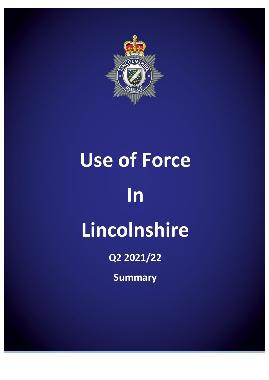

# **Use of Force In Lincolnshire**

**Q2 2021/22**

**Summary**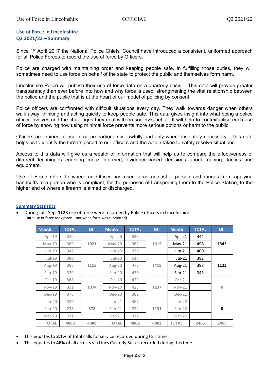# **Use of Force in Lincolnshire Q2 2021/22 – Summary**

Since 1<sup>st</sup> April 2017 the National Police Chiefs' Council have introduced a consistent, uniformed approach for all Police Forces to record the use of force by Officers.

Police are charged with maintaining order and keeping people safe. In fulfilling those duties, they will sometimes need to use force on behalf of the state to protect the public and themselves form harm.

Lincolnshire Police will publish their use of force data on a quarterly basis. This data will provide greater transparency than ever before into how and why force is used; strengthening the vital relationship between the police and the public that is at the heart of our model of policing by consent.

Police officers are confronted with difficult situations every day. They walk towards danger when others walk away, thinking and acting quickly to keep people safe. This data gives insight into what being a police officer involves and the challenges they deal with on society's behalf. It will help to contextualise each use of force by showing how using minimal force prevents more serious options or harm to the public.

Officers are trained to use force proportionately, lawfully and only when absolutely necessary. This data helps us to identify the threats posed to our officers and the action taken to safely resolve situations.

Access to this data will give us a wealth of information that will help us to compare the effectiveness of different techniques enabling more informed, evidence-based decisions about training, tactics and equipment.

Use of Force refers to where an Officer has used force against a person and ranges from applying handcuffs to a person who is compliant, for the purposes of transporting them to the Police Station, to the higher end of where a firearm is aimed or discharged.

## **Summary Statistics**

• During Jul - Sep, **1123** use of force were recorded by Police officers in Lincolnshire (Date use of force took place – not when form was submitted)

| <b>Month</b> | <b>TOTAL</b> | Qtr  | <b>Month</b> | <b>TOTAL</b> | Qtr  | <b>Month</b> | <b>TOTAL</b> | Qtr          |  |
|--------------|--------------|------|--------------|--------------|------|--------------|--------------|--------------|--|
| Apr-19       | 310          |      | Apr-20       | 323          |      | Apr-21       | 444          |              |  |
| May-19       | 369          | 1021 | May-20       | 362          | 1015 | $May-21$     | 498          | 1342         |  |
| Jun-19       | 342          |      | $Jun-20$     | 330          |      | $Jun-21$     | 400          |              |  |
| $Jul-19$     | 380          |      | $Jul-20$     | 517          |      | $Jul-21$     | 382          |              |  |
| Aug-19       | 396          | 1115 | Aug-20       | 472          | 1419 | Aug-21       | 398          | 1123         |  |
| $Sep-19$     | 339          |      | $Sep-20$     | 430          |      | $Sep-21$     | 343          |              |  |
| $Oct-19$     | 368          |      | $Oct-20$     | 429          |      | $Oct-21$     |              | $\mathbf{0}$ |  |
| $Nov-19$     | 331          | 1074 | $Nov-20$     | 426          | 1237 | Nov-21       |              |              |  |
| $Dec-19$     | 375          |      | Dec-20       | 382          |      | $Dec-21$     |              |              |  |
| $Jan-20$     | 329          |      | $Jan-21$     | 387          |      | $Jan-22$     |              |              |  |
| Feb-20       | 278          | 878  | $Feb-21$     | 372          | 1131 | $Feb-22$     |              | $\mathbf 0$  |  |
| Mar-20       | 271          |      | $Mar-21$     | 372          |      | Mar-22       |              |              |  |
| <b>TOTAL</b> | 4088         | 4088 | <b>TOTAL</b> | 4802         | 4802 | <b>TOTAL</b> | 2465         | 2465         |  |

- This equates to **3.1%** of total calls for service recorded during this time
- This equates to **46%** of all arrests via Lincs Custody Suites recorded during this time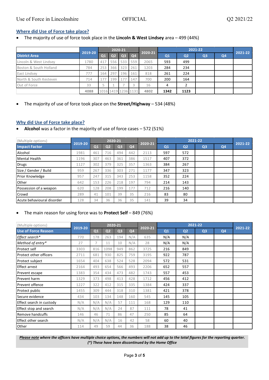# **Where did Use of Force take place?**

• The majority of use of force took place in the **Lincoln & West Lindsey** area – 499 (44%)

|                        | 2019-20 | 2020-21        |     |                |                     | 2020-21 |                | 2021-22        |                |                |  |
|------------------------|---------|----------------|-----|----------------|---------------------|---------|----------------|----------------|----------------|----------------|--|
| <b>District Area</b>   |         | Q <sub>1</sub> | Q2  | Q <sub>3</sub> | <b>Q4</b>           |         | Q <sub>1</sub> | Q <sub>2</sub> | Q <sub>3</sub> | Q <sub>4</sub> |  |
| Lincoln & West Lindsey | 1780    | 417            | 556 | 533            | 559                 | 2065    | 593            | 499            |                |                |  |
| Boston & South Holland | 784     | 253            | 366 | 323            | 261                 | 1203    | 284            | 234            |                |                |  |
| East Lindsey           | 777     | 164            | 297 | 196            | 161                 | 818     | 261            | 224            |                |                |  |
| North & South Kesteven | 714     | 177            | 199 | 177            | 147                 | 700     | 200            | 164            |                |                |  |
| Out of Force           | 33      |                |     |                |                     | 16      | 4              |                |                |                |  |
|                        | 4088    |                |     |                | 1016 1419 1236 1131 | 4802    | 1342           | 1123           |                |                |  |

• The majority of use of force took place on the **Street/Highway** – 534 (48%)

# **Why did Use of Force take place?**

• **Alcohol** was a factor in the majority of use of force cases – 572 (51%)

| (Multiple options)         |         |                |                | 2020-21        |                | 2020-21 |     | 2021-22        |                |                |  |
|----------------------------|---------|----------------|----------------|----------------|----------------|---------|-----|----------------|----------------|----------------|--|
| <b>Impact Factor</b>       | 2019-20 | Q <sub>1</sub> | Q <sub>2</sub> | Q <sub>3</sub> | Q <sub>4</sub> |         | Q1  | Q <sub>2</sub> | Q <sub>3</sub> | Q <sub>4</sub> |  |
| Alcohol                    | 1981    | 461            | 716            | 494            | 442            | 2113    | 597 | 572            |                |                |  |
| <b>Mental Health</b>       | 1196    | 307            | 463            | 361            | 386            | 1517    | 407 | 372            |                |                |  |
| Drugs                      | 1127    | 302            | 379            | 325            | 357            | 1363    | 384 | 267            |                |                |  |
| Size / Gender / Build      | 959     | 267            | 336            | 303            | 271            | 1177    | 347 | 323            |                |                |  |
| <b>Prior Knowledge</b>     | 957     | 247            | 315            | 343            | 253            | 1158    | 352 | 224            |                |                |  |
| Other                      | 642     | 153            | 226            | 218            | 197            | 794     | 214 | 143            |                |                |  |
| Possession of a weapon     | 620     | 128            | 208            | 199            | 177            | 712     | 216 | 140            |                |                |  |
| Crowd                      | 289     | 41             | 101            | 39             | 35             | 216     | 83  | 80             |                |                |  |
| Acute behavioural disorder | 128     | 34             | 36             | 36             | 35             | 141     | 39  | 34             |                |                |  |

# • The main reason for using force was to **Protect Self** – 849 (76%)

| (Multiple options)            |         |                |                | 2020-21 |                | 2020-21 |     | 2021-22        |                |                |  |
|-------------------------------|---------|----------------|----------------|---------|----------------|---------|-----|----------------|----------------|----------------|--|
| <b>Use of Force Reason</b>    | 2019-20 | Q1             | Q <sub>2</sub> | Q3      | Q <sub>4</sub> |         | Q1  | Q <sub>2</sub> | Q <sub>3</sub> | Q <sub>4</sub> |  |
| Effect search*                | 770     | 178            | 263            | 194     | N/A            | 635     | N/A | N/A            |                |                |  |
| Method of entry*              | 27      | $\overline{7}$ | 11             | 10      | N/A            | 28      | N/A | N/A            |                |                |  |
| Protect self                  | 3303    | 816            | 1098           | 949     | 862            | 3725    | 216 | 849            |                |                |  |
| <b>Protect other officers</b> | 2711    | 681            | 930            | 825     | 759            | 3195    | 922 | 787            |                |                |  |
| Protect subject               | 1654    | 404            | 638            | 524     | 528            | 2094    | 572 | 531            |                |                |  |
| <b>Effect arrest</b>          | 2164    | 493            | 654            | 566     | 493            | 2206    | 652 | 557            |                |                |  |
| Prevent escape                | 1383    | 354            | 434            | 473     | 482            | 1743    | 557 | 453            |                |                |  |
| Prevent harm                  | 1329    | 373            | 498            | 413     | 428            | 1712    | 456 | 412            |                |                |  |
| <b>Prevent offence</b>        | 1227    | 322            | 412            | 315     | 335            | 1384    | 424 | 337            |                |                |  |
| Protect public                | 1455    | 309            | 444            | 318     | 310            | 1381    | 421 | 378            |                |                |  |
| Secure evidence               | 434     | 103            | 134            | 148     | 160            | 545     | 145 | 105            |                |                |  |
| Effect search in custody      | N/A     | N/A            | N/A            | 57      | 111            | 168     | 129 | 110            |                |                |  |
| Effect stop and search        | N/A     | N/A            | N/A            | 24      | 87             | 111     | 78  | 41             |                |                |  |
| <b>Remove handcuffs</b>       | 146     | 46             | 71             | 86      | 47             | 250     | 85  | 64             |                |                |  |
| Effect other search           | N/A     | N/A            | N/A            | 16      | 42             | 58      | 60  | 40             |                |                |  |
| Other                         | 114     | 49             | 59             | 44      | 36             | 188     | 38  | 46             |                |                |  |

*Please note where the officers have multiple choice options, the numbers will not add up to the total figures for the reporting quarter. (\*) These have been discontinued by the Home Office*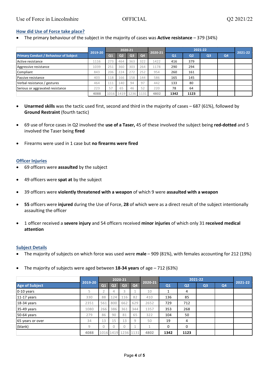# **How did Use of Force take place?**

• The primary behaviour of the subject in the majority of cases was **Active resistance** – 379 (34%)

|                                               | 2019-20 |                 |     | 2020-21        |           | 2020-21 |                | 2021-22        |                |                |  |
|-----------------------------------------------|---------|-----------------|-----|----------------|-----------|---------|----------------|----------------|----------------|----------------|--|
| <b>Primary Conduct / Behaviour of Subject</b> |         | $\overline{O1}$ | Q2  | Q <sub>3</sub> | <b>Q4</b> |         | Q <sub>1</sub> | Q <sub>2</sub> | Q <sub>3</sub> | Q <sub>4</sub> |  |
| Active resistance                             | 1116    | 273             | 464 | 363            | 322       | 1422    | 416            | 379            |                |                |  |
| Aggressive resistance                         | 1039    | 251             | 360 | 303            | 264       | 1178    | 290            | 294            |                |                |  |
| Compliant                                     | 843     | 206             | 224 | 272            | 252       | 954     | 260            | 161            |                |                |  |
| Passive resistance                            | 403     | 118             | 166 | 158            | 144       | 586     | 165            | 145            |                |                |  |
| Verbal resistance / gestures                  | 464     | 111             | 140 | 94             | 97        | 442     | 133            | 80             |                |                |  |
| Serious or aggravated resistance              | 223     | 57              | 65  | 46             | 52        | 220     | 78             | 64             |                |                |  |
|                                               | 4088    | 1016            | 419 | 1236           | 1131      | 4802    | 1342           | 1123           |                |                |  |

- **Unarmed skills** was the tactic used first, second and third in the majority of cases 687 (61%), followed by **Ground Restraint** (fourth tactic)
- 69 use of force cases in Q2 involved the **use of a Taser,** 45 of these involved the subject being **red-dotted** and 5 involved the Taser being **fired**
- Firearms were used in 1 case but **no firearms were fired**

## **Officer Injuries**

- 69 officers were **assaulted** by the subject
- 49 officers were **spat at** by the subject
- 39 officers were **violently threatened with a weapon** of which 9 were **assaulted with a weapon**
- **55** officers were **injured** during the Use of Force, **28** of which were as a direct result of the subject intentionally assaulting the officer
- 1 officer received a **severe injury** and 54 officers received **minor injuries** of which only 31 **received medical attention**

## **Subject Details**

- The majority of subjects on which force was used were **male** 909 (81%), with females accounting for 212 (19%)
- The majority of subjects were aged between **18-34 years** of age 712 (63%)

|                       | 2019-20 |                |                | 2020-21             |                | 2020-21        |      | 2021-22        |                |                |  |
|-----------------------|---------|----------------|----------------|---------------------|----------------|----------------|------|----------------|----------------|----------------|--|
| <b>Age of Subject</b> |         | Q <sub>1</sub> | Q <sub>2</sub> | Q <sub>3</sub>      | Q <sub>4</sub> |                | Q1   | Q <sub>2</sub> | Q <sub>3</sub> | Q <sub>4</sub> |  |
| 0-10 years            |         |                | 4              | 3                   |                | 10             |      | 4              |                |                |  |
| $11-17$ years         | 330     | 88             | 124            | 116                 | 82             | 410            | 136  | 85             |                |                |  |
| 18-34 years           | 2351    | 561            | 800            | 662                 | 629            | 2652           | 729  | 712            |                |                |  |
| 35-49 years           | 1080    | 266            | 386            | 361                 | 344            | 1357           | 353  | 268            |                |                |  |
| 50-64 years           | 279     | 86             | 90             | 81                  | 65             | 322            | 104  | 50             |                |                |  |
| 65 years or over      | 34      | 13             | 15             | 13                  | 9              | 50             | 19   | 4              |                |                |  |
| (blank)               | 9       |                |                | $\theta$            |                | $\overline{A}$ | 0    | 0              |                |                |  |
|                       | 4088    |                |                | 1016 1419 1236 1131 |                | 4802           | 1342 | 1123           |                |                |  |